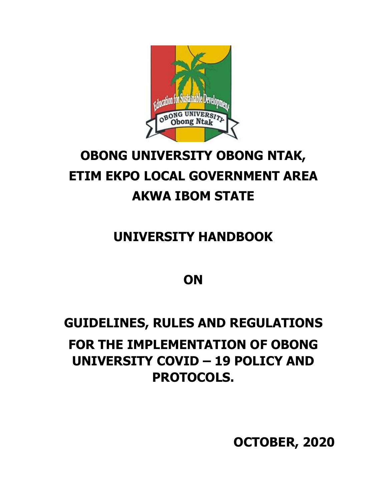

# **OBONG UNIVERSITY OBONG NTAK, ETIM EKPO LOCAL GOVERNMENT AREA AKWA IBOM STATE**

### **UNIVERSITY HANDBOOK**

### **ON**

## **GUIDELINES, RULES AND REGULATIONS FOR THE IMPLEMENTATION OF OBONG UNIVERSITY COVID – 19 POLICY AND PROTOCOLS.**

**OCTOBER, 2020**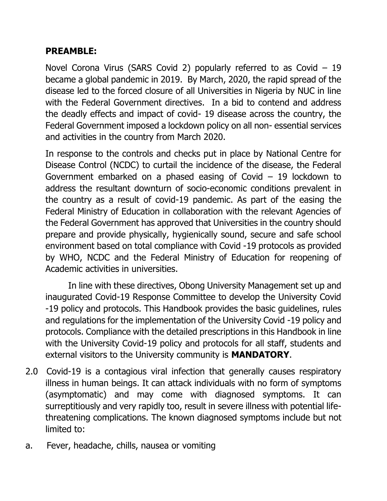#### **PREAMBLE:**

Novel Corona Virus (SARS Covid 2) popularly referred to as Covid – 19 became a global pandemic in 2019. By March, 2020, the rapid spread of the disease led to the forced closure of all Universities in Nigeria by NUC in line with the Federal Government directives. In a bid to contend and address the deadly effects and impact of covid- 19 disease across the country, the Federal Government imposed a lockdown policy on all non- essential services and activities in the country from March 2020.

In response to the controls and checks put in place by National Centre for Disease Control (NCDC) to curtail the incidence of the disease, the Federal Government embarked on a phased easing of Covid – 19 lockdown to address the resultant downturn of socio-economic conditions prevalent in the country as a result of covid-19 pandemic. As part of the easing the Federal Ministry of Education in collaboration with the relevant Agencies of the Federal Government has approved that Universities in the country should prepare and provide physically, hygienically sound, secure and safe school environment based on total compliance with Covid -19 protocols as provided by WHO, NCDC and the Federal Ministry of Education for reopening of Academic activities in universities.

In line with these directives, Obong University Management set up and inaugurated Covid-19 Response Committee to develop the University Covid -19 policy and protocols. This Handbook provides the basic guidelines, rules and regulations for the implementation of the University Covid -19 policy and protocols. Compliance with the detailed prescriptions in this Handbook in line with the University Covid-19 policy and protocols for all staff, students and external visitors to the University community is **MANDATORY**.

- 2.0 Covid-19 is a contagious viral infection that generally causes respiratory illness in human beings. It can attack individuals with no form of symptoms (asymptomatic) and may come with diagnosed symptoms. It can surreptitiously and very rapidly too, result in severe illness with potential lifethreatening complications. The known diagnosed symptoms include but not limited to:
- a. Fever, headache, chills, nausea or vomiting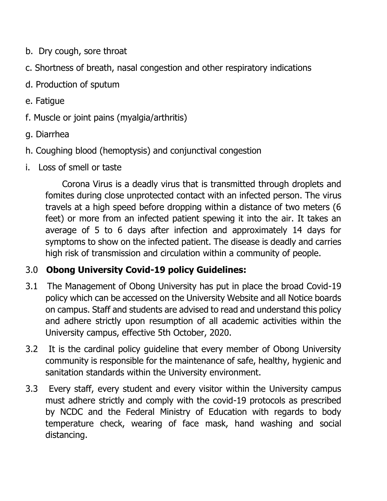- b. Dry cough, sore throat
- c. Shortness of breath, nasal congestion and other respiratory indications
- d. Production of sputum
- e. Fatigue
- f. Muscle or joint pains (myalgia/arthritis)
- g. Diarrhea
- h. Coughing blood (hemoptysis) and conjunctival congestion
- i. Loss of smell or taste

 Corona Virus is a deadly virus that is transmitted through droplets and fomites during close unprotected contact with an infected person. The virus travels at a high speed before dropping within a distance of two meters (6 feet) or more from an infected patient spewing it into the air. It takes an average of 5 to 6 days after infection and approximately 14 days for symptoms to show on the infected patient. The disease is deadly and carries high risk of transmission and circulation within a community of people.

#### 3.0 **Obong University Covid-19 policy Guidelines:**

- 3.1 The Management of Obong University has put in place the broad Covid-19 policy which can be accessed on the University Website and all Notice boards on campus. Staff and students are advised to read and understand this policy and adhere strictly upon resumption of all academic activities within the University campus, effective 5th October, 2020.
- 3.2 It is the cardinal policy guideline that every member of Obong University community is responsible for the maintenance of safe, healthy, hygienic and sanitation standards within the University environment.
- 3.3 Every staff, every student and every visitor within the University campus must adhere strictly and comply with the covid-19 protocols as prescribed by NCDC and the Federal Ministry of Education with regards to body temperature check, wearing of face mask, hand washing and social distancing.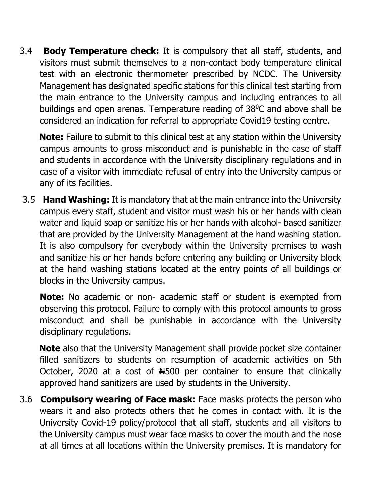3.4 **Body Temperature check:** It is compulsory that all staff, students, and visitors must submit themselves to a non-contact body temperature clinical test with an electronic thermometer prescribed by NCDC. The University Management has designated specific stations for this clinical test starting from the main entrance to the University campus and including entrances to all buildings and open arenas. Temperature reading of 38<sup>0</sup>C and above shall be considered an indication for referral to appropriate Covid19 testing centre.

 **Note:** Failure to submit to this clinical test at any station within the University campus amounts to gross misconduct and is punishable in the case of staff and students in accordance with the University disciplinary regulations and in case of a visitor with immediate refusal of entry into the University campus or any of its facilities.

3.5 **Hand Washing:** It is mandatory that at the main entrance into the University campus every staff, student and visitor must wash his or her hands with clean water and liquid soap or sanitize his or her hands with alcohol- based sanitizer that are provided by the University Management at the hand washing station. It is also compulsory for everybody within the University premises to wash and sanitize his or her hands before entering any building or University block at the hand washing stations located at the entry points of all buildings or blocks in the University campus.

**Note:** No academic or non- academic staff or student is exempted from observing this protocol. Failure to comply with this protocol amounts to gross misconduct and shall be punishable in accordance with the University disciplinary regulations.

 **Note** also that the University Management shall provide pocket size container filled sanitizers to students on resumption of academic activities on 5th October, 2020 at a cost of N4500 per container to ensure that clinically approved hand sanitizers are used by students in the University.

3.6 **Compulsory wearing of Face mask:** Face masks protects the person who wears it and also protects others that he comes in contact with. It is the University Covid-19 policy/protocol that all staff, students and all visitors to the University campus must wear face masks to cover the mouth and the nose at all times at all locations within the University premises. It is mandatory for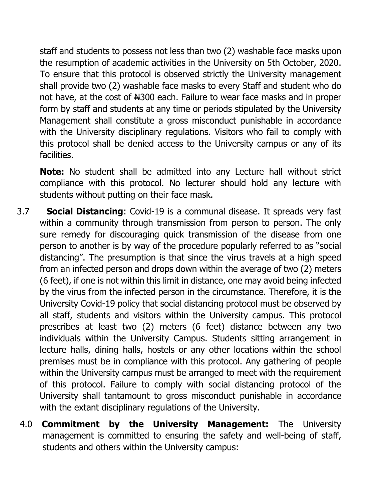staff and students to possess not less than two (2) washable face masks upon the resumption of academic activities in the University on 5th October, 2020. To ensure that this protocol is observed strictly the University management shall provide two (2) washable face masks to every Staff and student who do not have, at the cost of  $H300$  each. Failure to wear face masks and in proper form by staff and students at any time or periods stipulated by the University Management shall constitute a gross misconduct punishable in accordance with the University disciplinary regulations. Visitors who fail to comply with this protocol shall be denied access to the University campus or any of its facilities.

**Note:** No student shall be admitted into any Lecture hall without strict compliance with this protocol. No lecturer should hold any lecture with students without putting on their face mask.

- 3.7 **Social Distancing**: Covid-19 is a communal disease. It spreads very fast within a community through transmission from person to person. The only sure remedy for discouraging quick transmission of the disease from one person to another is by way of the procedure popularly referred to as "social distancing". The presumption is that since the virus travels at a high speed from an infected person and drops down within the average of two (2) meters (6 feet), if one is not within this limit in distance, one may avoid being infected by the virus from the infected person in the circumstance. Therefore, it is the University Covid-19 policy that social distancing protocol must be observed by all staff, students and visitors within the University campus. This protocol prescribes at least two (2) meters (6 feet) distance between any two individuals within the University Campus. Students sitting arrangement in lecture halls, dining halls, hostels or any other locations within the school premises must be in compliance with this protocol. Any gathering of people within the University campus must be arranged to meet with the requirement of this protocol. Failure to comply with social distancing protocol of the University shall tantamount to gross misconduct punishable in accordance with the extant disciplinary regulations of the University.
- 4.0 **Commitment by the University Management:** The University management is committed to ensuring the safety and well-being of staff, students and others within the University campus: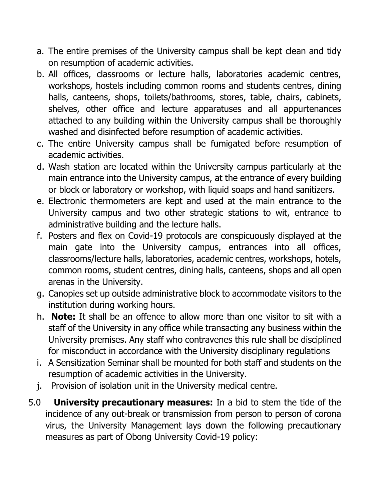- a. The entire premises of the University campus shall be kept clean and tidy on resumption of academic activities.
- b. All offices, classrooms or lecture halls, laboratories academic centres, workshops, hostels including common rooms and students centres, dining halls, canteens, shops, toilets/bathrooms, stores, table, chairs, cabinets, shelves, other office and lecture apparatuses and all appurtenances attached to any building within the University campus shall be thoroughly washed and disinfected before resumption of academic activities.
- c. The entire University campus shall be fumigated before resumption of academic activities.
- d. Wash station are located within the University campus particularly at the main entrance into the University campus, at the entrance of every building or block or laboratory or workshop, with liquid soaps and hand sanitizers.
- e. Electronic thermometers are kept and used at the main entrance to the University campus and two other strategic stations to wit, entrance to administrative building and the lecture halls.
- f. Posters and flex on Covid-19 protocols are conspicuously displayed at the main gate into the University campus, entrances into all offices, classrooms/lecture halls, laboratories, academic centres, workshops, hotels, common rooms, student centres, dining halls, canteens, shops and all open arenas in the University.
- g. Canopies set up outside administrative block to accommodate visitors to the institution during working hours.
- h. **Note:** It shall be an offence to allow more than one visitor to sit with a staff of the University in any office while transacting any business within the University premises. Any staff who contravenes this rule shall be disciplined for misconduct in accordance with the University disciplinary regulations
- i. A Sensitization Seminar shall be mounted for both staff and students on the resumption of academic activities in the University.
- j. Provision of isolation unit in the University medical centre.
- 5.0 **University precautionary measures:** In a bid to stem the tide of the incidence of any out-break or transmission from person to person of corona virus, the University Management lays down the following precautionary measures as part of Obong University Covid-19 policy: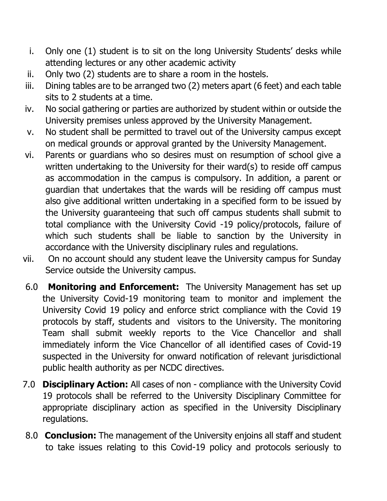- i. Only one (1) student is to sit on the long University Students' desks while attending lectures or any other academic activity
- ii. Only two (2) students are to share a room in the hostels.
- iii. Dining tables are to be arranged two (2) meters apart (6 feet) and each table sits to 2 students at a time.
- iv. No social gathering or parties are authorized by student within or outside the University premises unless approved by the University Management.
- v. No student shall be permitted to travel out of the University campus except on medical grounds or approval granted by the University Management.
- vi. Parents or guardians who so desires must on resumption of school give a written undertaking to the University for their ward(s) to reside off campus as accommodation in the campus is compulsory. In addition, a parent or guardian that undertakes that the wards will be residing off campus must also give additional written undertaking in a specified form to be issued by the University guaranteeing that such off campus students shall submit to total compliance with the University Covid -19 policy/protocols, failure of which such students shall be liable to sanction by the University in accordance with the University disciplinary rules and regulations.
- vii. On no account should any student leave the University campus for Sunday Service outside the University campus.
- 6.0 **Monitoring and Enforcement:** The University Management has set up the University Covid-19 monitoring team to monitor and implement the University Covid 19 policy and enforce strict compliance with the Covid 19 protocols by staff, students and visitors to the University. The monitoring Team shall submit weekly reports to the Vice Chancellor and shall immediately inform the Vice Chancellor of all identified cases of Covid-19 suspected in the University for onward notification of relevant jurisdictional public health authority as per NCDC directives.
- 7.0 **Disciplinary Action:** All cases of non compliance with the University Covid 19 protocols shall be referred to the University Disciplinary Committee for appropriate disciplinary action as specified in the University Disciplinary regulations.
- 8.0 **Conclusion:** The management of the University enjoins all staff and student to take issues relating to this Covid-19 policy and protocols seriously to